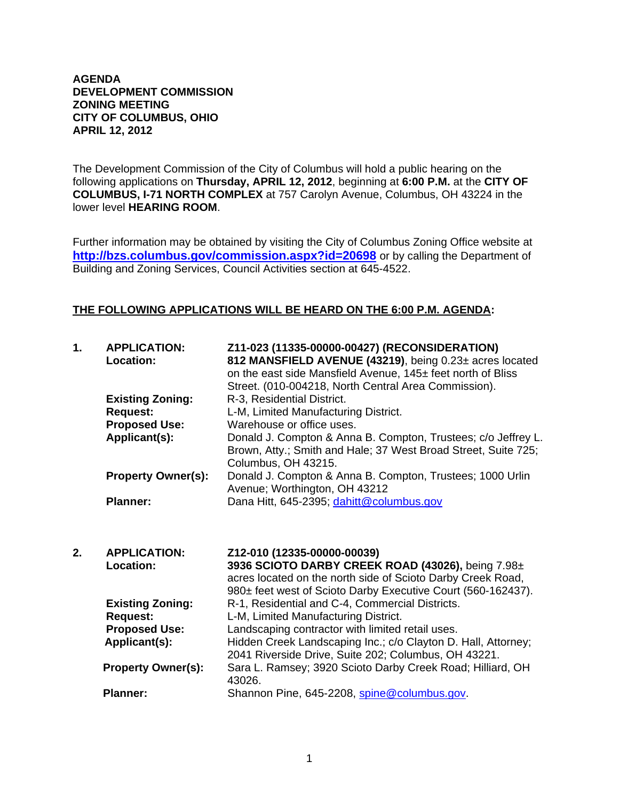## **AGENDA DEVELOPMENT COMMISSION ZONING MEETING CITY OF COLUMBUS, OHIO APRIL 12, 2012**

The Development Commission of the City of Columbus will hold a public hearing on the following applications on **Thursday, APRIL 12, 2012**, beginning at **6:00 P.M.** at the **CITY OF COLUMBUS, I-71 NORTH COMPLEX** at 757 Carolyn Avenue, Columbus, OH 43224 in the lower level **HEARING ROOM**.

Further information may be obtained by visiting the City of Columbus Zoning Office website at **http://bzs.columbus.gov/commission.aspx?id=20698** or by calling the Department of Building and Zoning Services, Council Activities section at 645-4522.

## **THE FOLLOWING APPLICATIONS WILL BE HEARD ON THE 6:00 P.M. AGENDA:**

| 1. | <b>APPLICATION:</b><br>Location: | Z11-023 (11335-00000-00427) (RECONSIDERATION)<br>812 MANSFIELD AVENUE (43219), being 0.23± acres located<br>on the east side Mansfield Avenue, 145± feet north of Bliss<br>Street. (010-004218, North Central Area Commission). |
|----|----------------------------------|---------------------------------------------------------------------------------------------------------------------------------------------------------------------------------------------------------------------------------|
|    | <b>Existing Zoning:</b>          | R-3, Residential District.                                                                                                                                                                                                      |
|    | <b>Request:</b>                  | L-M, Limited Manufacturing District.                                                                                                                                                                                            |
|    | <b>Proposed Use:</b>             | Warehouse or office uses.                                                                                                                                                                                                       |
|    | Applicant(s):                    | Donald J. Compton & Anna B. Compton, Trustees; c/o Jeffrey L.<br>Brown, Atty.; Smith and Hale; 37 West Broad Street, Suite 725;<br>Columbus, OH 43215.                                                                          |
|    | <b>Property Owner(s):</b>        | Donald J. Compton & Anna B. Compton, Trustees; 1000 Urlin<br>Avenue; Worthington, OH 43212                                                                                                                                      |
|    | <b>Planner:</b>                  | Dana Hitt, 645-2395; dahitt@columbus.gov                                                                                                                                                                                        |
| 2. | <b>APPLICATION:</b>              | Z12-010 (12335-00000-00039)                                                                                                                                                                                                     |
|    | Location:                        | 3936 SCIOTO DARBY CREEK ROAD (43026), being 7.98±<br>acres located on the north side of Scioto Darby Creek Road,<br>980± feet west of Scioto Darby Executive Court (560-162437).                                                |
|    | <b>Existing Zoning:</b>          | R-1, Residential and C-4, Commercial Districts.                                                                                                                                                                                 |
|    | <b>Request:</b>                  | L-M, Limited Manufacturing District.                                                                                                                                                                                            |
|    | <b>Proposed Use:</b>             | Landscaping contractor with limited retail uses.                                                                                                                                                                                |
|    | Applicant(s):                    | Hidden Creek Landscaping Inc.; c/o Clayton D. Hall, Attorney;<br>2041 Riverside Drive, Suite 202; Columbus, OH 43221.                                                                                                           |
|    | <b>Property Owner(s):</b>        | Sara L. Ramsey; 3920 Scioto Darby Creek Road; Hilliard, OH<br>43026.                                                                                                                                                            |
|    | <b>Planner:</b>                  | Shannon Pine, 645-2208, spine@columbus.gov.                                                                                                                                                                                     |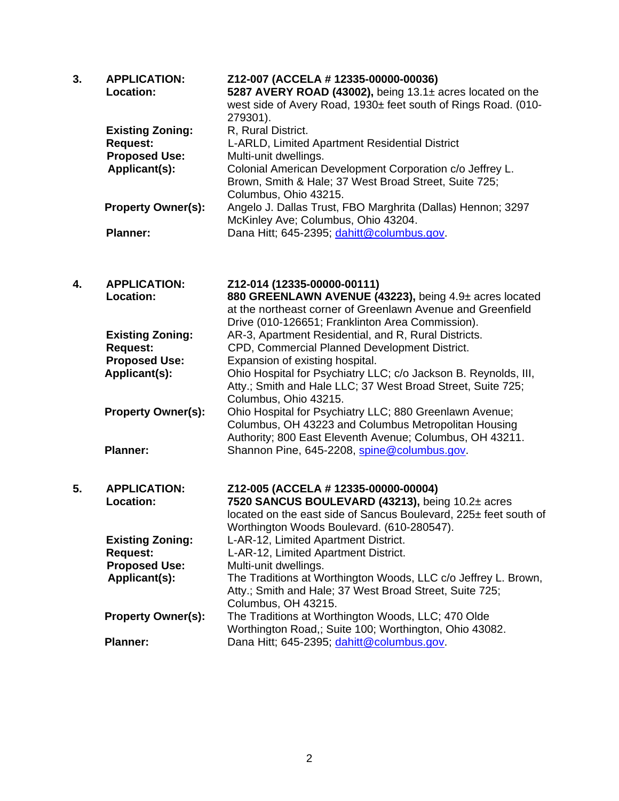| 3. | <b>APPLICATION:</b><br>Location:<br><b>Existing Zoning:</b><br><b>Request:</b><br><b>Proposed Use:</b><br>Applicant(s): | Z12-007 (ACCELA # 12335-00000-00036)<br>5287 AVERY ROAD (43002), being 13.1± acres located on the<br>west side of Avery Road, 1930± feet south of Rings Road. (010-<br>279301).<br>R, Rural District.<br>L-ARLD, Limited Apartment Residential District<br>Multi-unit dwellings.<br>Colonial American Development Corporation c/o Jeffrey L.<br>Brown, Smith & Hale; 37 West Broad Street, Suite 725;<br>Columbus, Ohio 43215. |
|----|-------------------------------------------------------------------------------------------------------------------------|--------------------------------------------------------------------------------------------------------------------------------------------------------------------------------------------------------------------------------------------------------------------------------------------------------------------------------------------------------------------------------------------------------------------------------|
|    | <b>Property Owner(s):</b>                                                                                               | Angelo J. Dallas Trust, FBO Marghrita (Dallas) Hennon; 3297<br>McKinley Ave; Columbus, Ohio 43204.                                                                                                                                                                                                                                                                                                                             |
|    | <b>Planner:</b>                                                                                                         | Dana Hitt; 645-2395; dahitt@columbus.gov.                                                                                                                                                                                                                                                                                                                                                                                      |
| 4. | <b>APPLICATION:</b><br>Location:                                                                                        | Z12-014 (12335-00000-00111)<br>880 GREENLAWN AVENUE (43223), being 4.9± acres located<br>at the northeast corner of Greenlawn Avenue and Greenfield<br>Drive (010-126651; Franklinton Area Commission).                                                                                                                                                                                                                        |
|    | <b>Existing Zoning:</b><br><b>Request:</b>                                                                              | AR-3, Apartment Residential, and R, Rural Districts.<br>CPD, Commercial Planned Development District.                                                                                                                                                                                                                                                                                                                          |
|    | <b>Proposed Use:</b><br>Applicant(s):                                                                                   | Expansion of existing hospital.<br>Ohio Hospital for Psychiatry LLC; c/o Jackson B. Reynolds, III,<br>Atty.; Smith and Hale LLC; 37 West Broad Street, Suite 725;<br>Columbus, Ohio 43215.                                                                                                                                                                                                                                     |
|    | <b>Property Owner(s):</b>                                                                                               | Ohio Hospital for Psychiatry LLC; 880 Greenlawn Avenue;<br>Columbus, OH 43223 and Columbus Metropolitan Housing<br>Authority; 800 East Eleventh Avenue; Columbus, OH 43211.                                                                                                                                                                                                                                                    |
|    | <b>Planner:</b>                                                                                                         | Shannon Pine, 645-2208, spine@columbus.gov.                                                                                                                                                                                                                                                                                                                                                                                    |
| 5. | <b>APPLICATION:</b><br>Location:                                                                                        | Z12-005 (ACCELA # 12335-00000-00004)<br>7520 SANCUS BOULEVARD (43213), being 10.2± acres<br>located on the east side of Sancus Boulevard, 225± feet south of<br>Worthington Woods Boulevard. (610-280547).                                                                                                                                                                                                                     |
|    | <b>Existing Zoning:</b><br><b>Request:</b>                                                                              | L-AR-12, Limited Apartment District.<br>L-AR-12, Limited Apartment District.                                                                                                                                                                                                                                                                                                                                                   |
|    | <b>Proposed Use:</b><br>Applicant(s):                                                                                   | Multi-unit dwellings.<br>The Traditions at Worthington Woods, LLC c/o Jeffrey L. Brown,<br>Atty.; Smith and Hale; 37 West Broad Street, Suite 725;<br>Columbus, OH 43215.                                                                                                                                                                                                                                                      |
|    | <b>Property Owner(s):</b>                                                                                               | The Traditions at Worthington Woods, LLC; 470 Olde<br>Worthington Road,; Suite 100; Worthington, Ohio 43082.                                                                                                                                                                                                                                                                                                                   |
|    | <b>Planner:</b>                                                                                                         | Dana Hitt; 645-2395; dahitt@columbus.gov.                                                                                                                                                                                                                                                                                                                                                                                      |